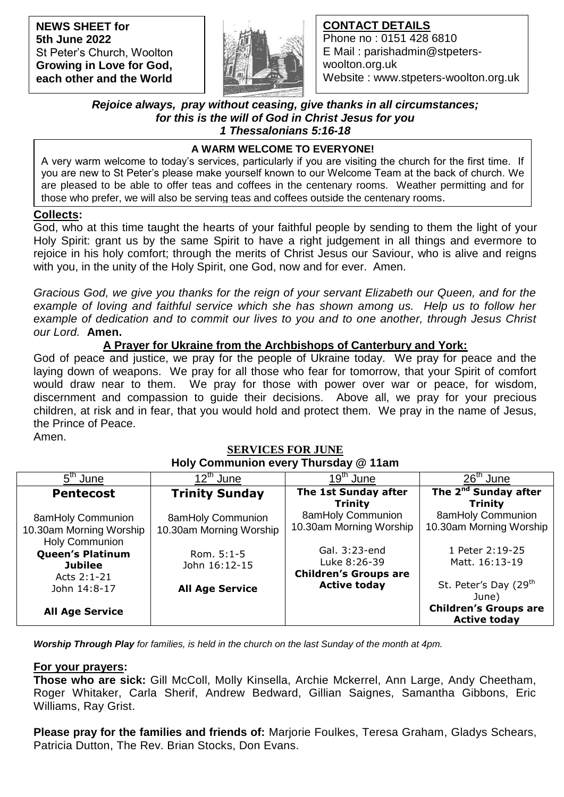**NEWS SHEET for 5th June 2022** St Peter's Church, Woolton **Growing in Love for God, each other and the World**



# **CONTACT DETAILS**

Phone no : 0151 428 6810 E Mail : parishadmin@stpeterswoolton.org.uk Website : www.stpeters-woolton.org.uk

## *Rejoice always, pray without ceasing, give thanks in all circumstances; for this is the will of God in Christ Jesus for you 1 Thessalonians 5:16-18*

# **A WARM WELCOME TO EVERYONE!**

 those who prefer, we will also be serving teas and coffees outside the centenary rooms. A very warm welcome to today's services, particularly if you are visiting the church for the first time. If you are new to St Peter's please make yourself known to our Welcome Team at the back of church. We are pleased to be able to offer teas and coffees in the centenary rooms. Weather permitting and for

### **Collects:**

God, who at this time taught the hearts of your faithful people by sending to them the light of your Holy Spirit: grant us by the same Spirit to have a right judgement in all things and evermore to rejoice in his holy comfort; through the merits of Christ Jesus our Saviour, who is alive and reigns with you, in the unity of the Holy Spirit, one God, now and for ever. Amen.

*Gracious God, we give you thanks for the reign of your servant Elizabeth our Queen, and for the*  example of loving and faithful service which she has shown among us. Help us to follow her *example of dedication and to commit our lives to you and to one another, through Jesus Christ our Lord.* **Amen.**

# **A Prayer for Ukraine from the Archbishops of Canterbury and York:**

God of peace and justice, we pray for the people of Ukraine today. We pray for peace and the laying down of weapons. We pray for all those who fear for tomorrow, that your Spirit of comfort would draw near to them. We pray for those with power over war or peace, for wisdom, discernment and compassion to guide their decisions. Above all, we pray for your precious children, at risk and in fear, that you would hold and protect them. We pray in the name of Jesus, the Prince of Peace.

Amen.

### **SERVICES FOR JUNE Holy Communion every Thursday @ 11am**

| 5 <sup>th</sup> June                                                         | $12^{th}$ June                               | $19th$ June                                                   | $26th$ June                                                                                       |
|------------------------------------------------------------------------------|----------------------------------------------|---------------------------------------------------------------|---------------------------------------------------------------------------------------------------|
| <b>Pentecost</b>                                                             | <b>Trinity Sunday</b>                        | The 1st Sunday after<br><b>Trinity</b>                        | The 2 <sup>nd</sup> Sunday after<br><b>Trinity</b>                                                |
| <b>8amHoly Communion</b><br>10.30am Morning Worship<br><b>Holy Communion</b> | 8amHoly Communion<br>10.30am Morning Worship | 8amHoly Communion<br>10.30am Morning Worship                  | <b>8amHoly Communion</b><br>10.30am Morning Worship                                               |
| <b>Queen's Platinum</b><br><b>Jubilee</b><br>Acts 2:1-21                     | Rom. $5:1-5$<br>John 16:12-15                | Gal. 3:23-end<br>Luke 8:26-39<br><b>Children's Groups are</b> | 1 Peter 2:19-25<br>Matt. 16:13-19                                                                 |
| John 14:8-17<br><b>All Age Service</b>                                       | <b>All Age Service</b>                       | <b>Active today</b>                                           | St. Peter's Day (29 <sup>th</sup><br>June)<br><b>Children's Groups are</b><br><b>Active today</b> |

*Worship Through Play for families, is held in the church on the last Sunday of the month at 4pm.*

**For your prayers:**

**Those who are sick:** Gill McColl, Molly Kinsella, Archie Mckerrel, Ann Large, Andy Cheetham, Roger Whitaker, Carla Sherif, Andrew Bedward, Gillian Saignes, Samantha Gibbons, Eric Williams, Ray Grist.

**Please pray for the families and friends of:** Marjorie Foulkes, Teresa Graham, Gladys Schears, Patricia Dutton, The Rev. Brian Stocks, Don Evans.